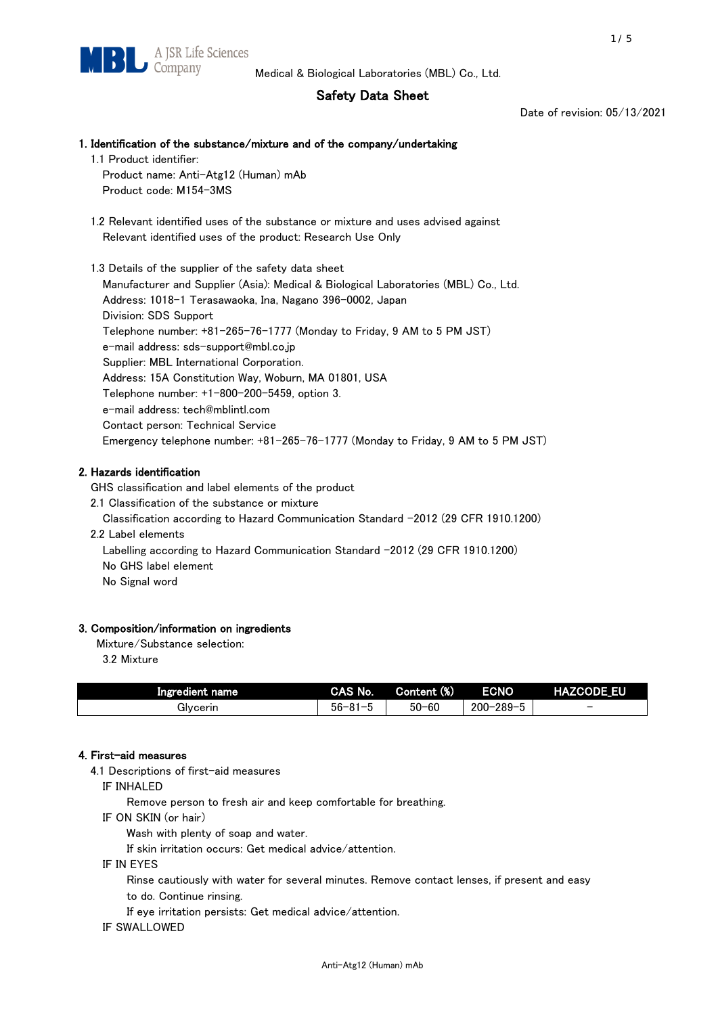# Safety Data Sheet

Date of revision: 05/13/2021

## 1. Identification of the substance/mixture and of the company/undertaking 1.1 Product identifier:

Product name: Anti-Atg12 (Human) mAb Product code: M154-3MS

 1.2 Relevant identified uses of the substance or mixture and uses advised against Relevant identified uses of the product: Research Use Only

 1.3 Details of the supplier of the safety data sheet Manufacturer and Supplier (Asia): Medical & Biological Laboratories (MBL) Co., Ltd. Address: 1018-1 Terasawaoka, Ina, Nagano 396-0002, Japan Division: SDS Support Telephone number: +81-265-76-1777 (Monday to Friday, 9 AM to 5 PM JST) e-mail address: sds-support@mbl.co.jp Supplier: MBL International Corporation. Address: 15A Constitution Way, Woburn, MA 01801, USA Telephone number: +1-800-200-5459, option 3. e-mail address: tech@mblintl.com Contact person: Technical Service Emergency telephone number: +81-265-76-1777 (Monday to Friday, 9 AM to 5 PM JST)

# 2. Hazards identification

GHS classification and label elements of the product

2.1 Classification of the substance or mixture

Classification according to Hazard Communication Standard -2012 (29 CFR 1910.1200)

2.2 Label elements

Labelling according to Hazard Communication Standard -2012 (29 CFR 1910.1200) No GHS label element

No Signal word

# 3. Composition/information on ingredients

Mixture/Substance selection:

3.2 Mixture

| Ingredient name | CAS No.             | Content (%) | <b>ECNO</b>                                              | <b>HAZCODE_EU</b>        |
|-----------------|---------------------|-------------|----------------------------------------------------------|--------------------------|
| Glvcerin        | $56 - 81 -$<br>ິບ ເ | $50 - 60$   | $-289 - 1$<br>$200 - 2$<br>$\overline{\phantom{0}}$<br>v | $\overline{\phantom{0}}$ |

# 4. First-aid measures

4.1 Descriptions of first-aid measures

IF INHALED

Remove person to fresh air and keep comfortable for breathing.

IF ON SKIN (or hair)

Wash with plenty of soap and water.

If skin irritation occurs: Get medical advice/attention.

IF IN EYES

Rinse cautiously with water for several minutes. Remove contact lenses, if present and easy

to do. Continue rinsing.

If eye irritation persists: Get medical advice/attention.

## IF SWALLOWED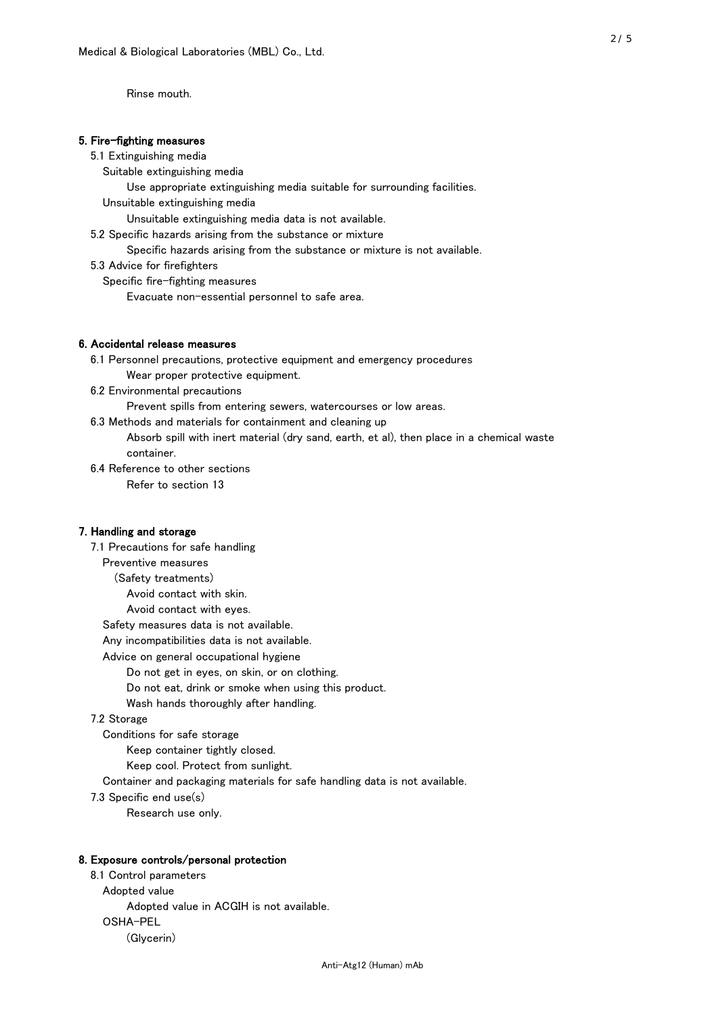Rinse mouth.

#### 5. Fire-fighting measures

#### 5.1 Extinguishing media

Suitable extinguishing media

- Use appropriate extinguishing media suitable for surrounding facilities.
- Unsuitable extinguishing media

Unsuitable extinguishing media data is not available.

5.2 Specific hazards arising from the substance or mixture

Specific hazards arising from the substance or mixture is not available.

5.3 Advice for firefighters

Specific fire-fighting measures

Evacuate non-essential personnel to safe area.

#### 6. Accidental release measures

 6.1 Personnel precautions, protective equipment and emergency procedures Wear proper protective equipment.

6.2 Environmental precautions

Prevent spills from entering sewers, watercourses or low areas.

6.3 Methods and materials for containment and cleaning up

 Absorb spill with inert material (dry sand, earth, et al), then place in a chemical waste container.

6.4 Reference to other sections

Refer to section 13

## 7. Handling and storage

 7.1 Precautions for safe handling Preventive measures (Safety treatments) Avoid contact with skin. Avoid contact with eyes. Safety measures data is not available. Any incompatibilities data is not available. Advice on general occupational hygiene Do not get in eyes, on skin, or on clothing. Do not eat, drink or smoke when using this product. Wash hands thoroughly after handling. 7.2 Storage Conditions for safe storage Keep container tightly closed.

Keep cool. Protect from sunlight.

Container and packaging materials for safe handling data is not available.

7.3 Specific end use(s)

Research use only.

#### 8. Exposure controls/personal protection

 8.1 Control parameters Adopted value Adopted value in ACGIH is not available. OSHA-PEL (Glycerin)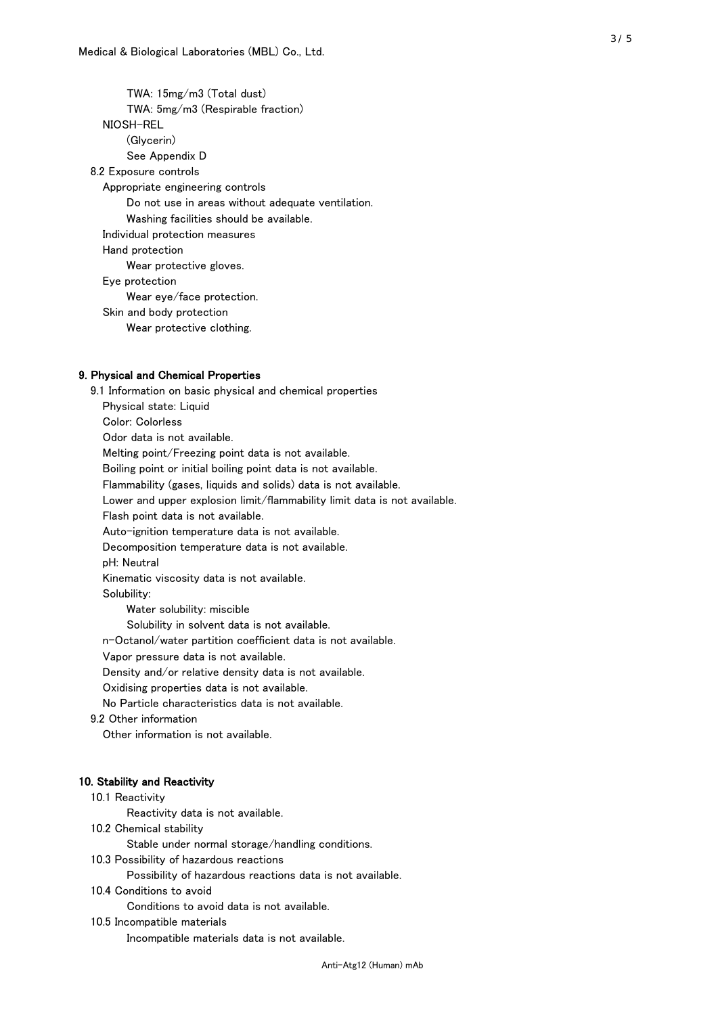TWA: 15mg/m3 (Total dust) TWA: 5mg/m3 (Respirable fraction) NIOSH-REL (Glycerin) See Appendix D 8.2 Exposure controls Appropriate engineering controls Do not use in areas without adequate ventilation. Washing facilities should be available. Individual protection measures Hand protection Wear protective gloves. Eye protection Wear eye/face protection. Skin and body protection Wear protective clothing.

## 9. Physical and Chemical Properties

 9.1 Information on basic physical and chemical properties Physical state: Liquid Color: Colorless Odor data is not available. Melting point/Freezing point data is not available. Boiling point or initial boiling point data is not available. Flammability (gases, liquids and solids) data is not available. Lower and upper explosion limit/flammability limit data is not available. Flash point data is not available. Auto-ignition temperature data is not available. Decomposition temperature data is not available. pH: Neutral Kinematic viscosity data is not available. Solubility: Water solubility: miscible Solubility in solvent data is not available. n-Octanol/water partition coefficient data is not available. Vapor pressure data is not available. Density and/or relative density data is not available. Oxidising properties data is not available. No Particle characteristics data is not available. 9.2 Other information Other information is not available. 10. Stability and Reactivity 10.1 Reactivity Reactivity data is not available. 10.2 Chemical stability Stable under normal storage/handling conditions. 10.3 Possibility of hazardous reactions

Possibility of hazardous reactions data is not available.

## 10.4 Conditions to avoid

Conditions to avoid data is not available.

#### 10.5 Incompatible materials

Incompatible materials data is not available.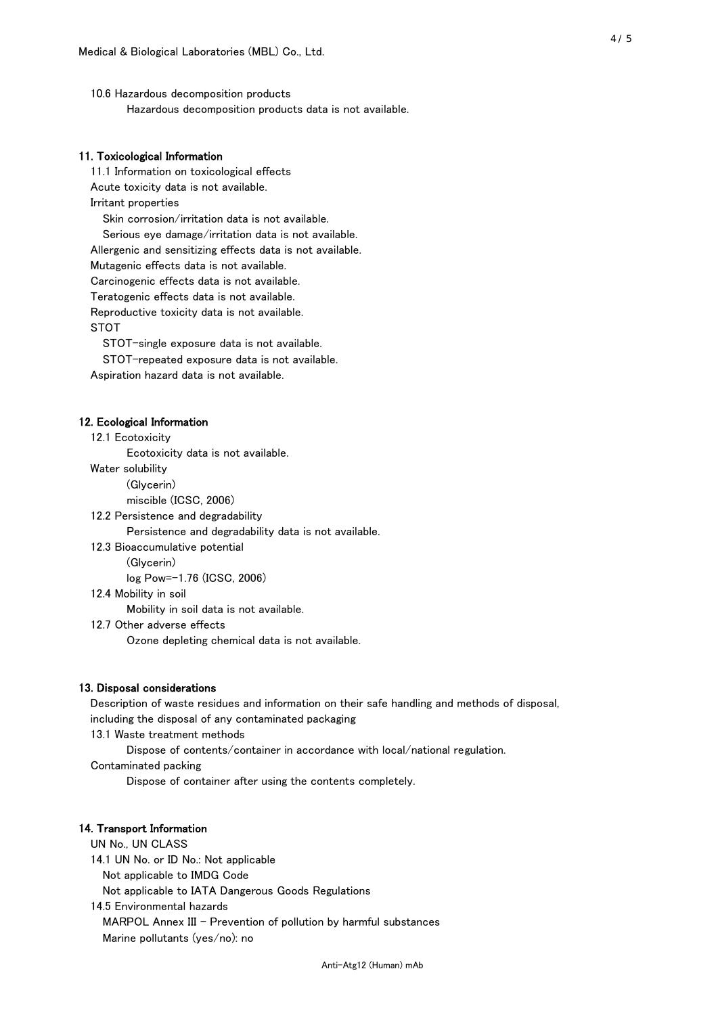10.6 Hazardous decomposition products Hazardous decomposition products data is not available.

## 11. Toxicological Information

 11.1 Information on toxicological effects Acute toxicity data is not available. Irritant properties Skin corrosion/irritation data is not available. Serious eye damage/irritation data is not available. Allergenic and sensitizing effects data is not available. Mutagenic effects data is not available. Carcinogenic effects data is not available. Teratogenic effects data is not available. Reproductive toxicity data is not available. STOT

STOT-single exposure data is not available.

STOT-repeated exposure data is not available.

Aspiration hazard data is not available.

#### 12. Ecological Information

12.1 Ecotoxicity

Ecotoxicity data is not available.

Water solubility

(Glycerin)

miscible (ICSC, 2006)

12.2 Persistence and degradability

Persistence and degradability data is not available.

12.3 Bioaccumulative potential

(Glycerin)

log Pow=-1.76 (ICSC, 2006)

12.4 Mobility in soil

Mobility in soil data is not available.

12.7 Other adverse effects

Ozone depleting chemical data is not available.

#### 13. Disposal considerations

 Description of waste residues and information on their safe handling and methods of disposal, including the disposal of any contaminated packaging

13.1 Waste treatment methods

Dispose of contents/container in accordance with local/national regulation.

Contaminated packing

Dispose of container after using the contents completely.

#### 14. Transport Information

 UN No., UN CLASS 14.1 UN No. or ID No.: Not applicable Not applicable to IMDG Code Not applicable to IATA Dangerous Goods Regulations

 14.5 Environmental hazards MARPOL Annex III - Prevention of pollution by harmful substances Marine pollutants (yes/no): no